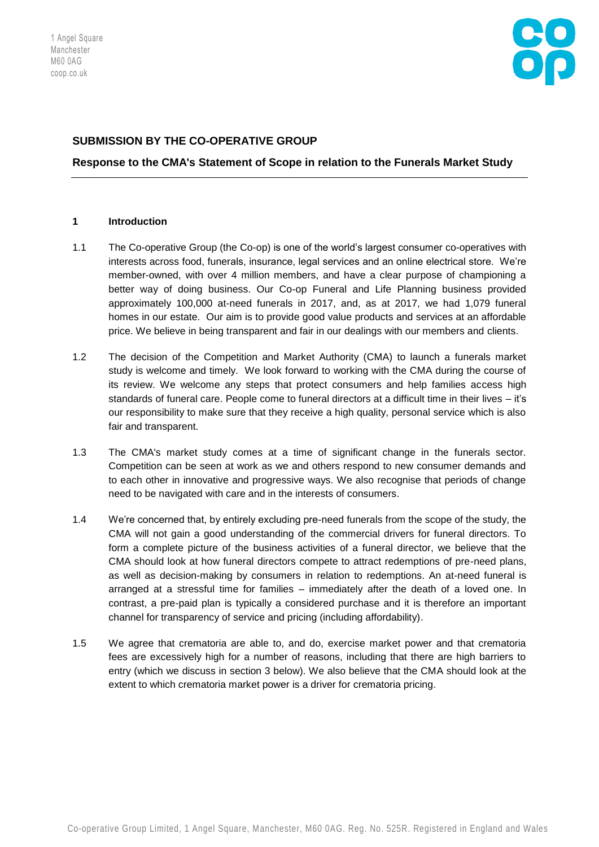

# **SUBMISSION BY THE CO-OPERATIVE GROUP**

**Response to the CMA's Statement of Scope in relation to the Funerals Market Study** 

### **1 Introduction**

- 1.1 The Co-operative Group (the Co-op) is one of the world's largest consumer co-operatives with interests across food, funerals, insurance, legal services and an online electrical store. We're member-owned, with over 4 million members, and have a clear purpose of championing a better way of doing business. Our Co-op Funeral and Life Planning business provided approximately 100,000 at-need funerals in 2017, and, as at 2017, we had 1,079 funeral homes in our estate. Our aim is to provide good value products and services at an affordable price. We believe in being transparent and fair in our dealings with our members and clients.
- 1.2 The decision of the Competition and Market Authority (CMA) to launch a funerals market study is welcome and timely. We look forward to working with the CMA during the course of its review. We welcome any steps that protect consumers and help families access high standards of funeral care. People come to funeral directors at a difficult time in their lives – it's our responsibility to make sure that they receive a high quality, personal service which is also fair and transparent.
- 1.3 The CMA's market study comes at a time of significant change in the funerals sector. Competition can be seen at work as we and others respond to new consumer demands and to each other in innovative and progressive ways. We also recognise that periods of change need to be navigated with care and in the interests of consumers.
- 1.4 We're concerned that, by entirely excluding pre-need funerals from the scope of the study, the CMA will not gain a good understanding of the commercial drivers for funeral directors. To form a complete picture of the business activities of a funeral director, we believe that the CMA should look at how funeral directors compete to attract redemptions of pre-need plans, as well as decision-making by consumers in relation to redemptions. An at-need funeral is arranged at a stressful time for families – immediately after the death of a loved one. In contrast, a pre-paid plan is typically a considered purchase and it is therefore an important channel for transparency of service and pricing (including affordability).
- 1.5 We agree that crematoria are able to, and do, exercise market power and that crematoria fees are excessively high for a number of reasons, including that there are high barriers to entry (which we discuss in section 3 below). We also believe that the CMA should look at the extent to which crematoria market power is a driver for crematoria pricing.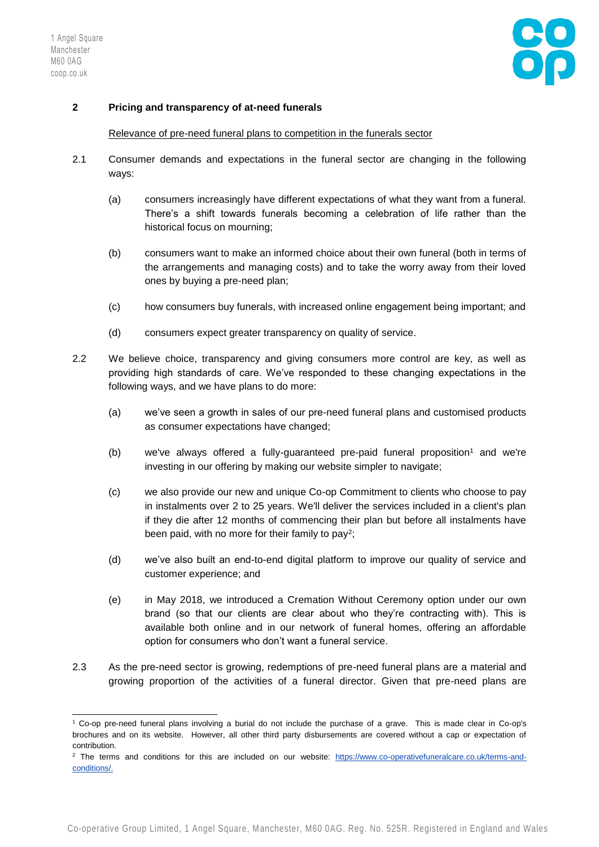

## **2 Pricing and transparency of at-need funerals**

## Relevance of pre-need funeral plans to competition in the funerals sector

- 2.1 Consumer demands and expectations in the funeral sector are changing in the following ways:
	- (a) consumers increasingly have different expectations of what they want from a funeral. There's a shift towards funerals becoming a celebration of life rather than the historical focus on mourning;
	- (b) consumers want to make an informed choice about their own funeral (both in terms of the arrangements and managing costs) and to take the worry away from their loved ones by buying a pre-need plan;
	- (c) how consumers buy funerals, with increased online engagement being important; and
	- (d) consumers expect greater transparency on quality of service.
- 2.2 We believe choice, transparency and giving consumers more control are key, as well as providing high standards of care. We've responded to these changing expectations in the following ways, and we have plans to do more:
	- (a) we've seen a growth in sales of our pre-need funeral plans and customised products as consumer expectations have changed;
	- (b) we've always offered a fully-quaranteed pre-paid funeral proposition<sup>1</sup> and we're investing in our offering by making our website simpler to navigate;
	- (c) we also provide our new and unique Co-op Commitment to clients who choose to pay in instalments over 2 to 25 years. We'll deliver the services included in a client's plan if they die after 12 months of commencing their plan but before all instalments have been paid, with no more for their family to pay<sup>2</sup>;
	- (d) we've also built an end-to-end digital platform to improve our quality of service and customer experience; and
	- (e) in May 2018, we introduced a Cremation Without Ceremony option under our own brand (so that our clients are clear about who they're contracting with). This is available both online and in our network of funeral homes, offering an affordable option for consumers who don't want a funeral service.
- 2.3 As the pre-need sector is growing, redemptions of pre-need funeral plans are a material and growing proportion of the activities of a funeral director. Given that pre-need plans are

<sup>-</sup><sup>1</sup> Co-op pre-need funeral plans involving a burial do not include the purchase of a grave. This is made clear in Co-op's brochures and on its website. However, all other third party disbursements are covered without a cap or expectation of contribution.

<sup>&</sup>lt;sup>2</sup> The terms and conditions for this are included on our website: [https://www.co-operativefuneralcare.co.uk/terms-and](https://www.co-operativefuneralcare.co.uk/terms-and-conditions/)[conditions/.](https://www.co-operativefuneralcare.co.uk/terms-and-conditions/)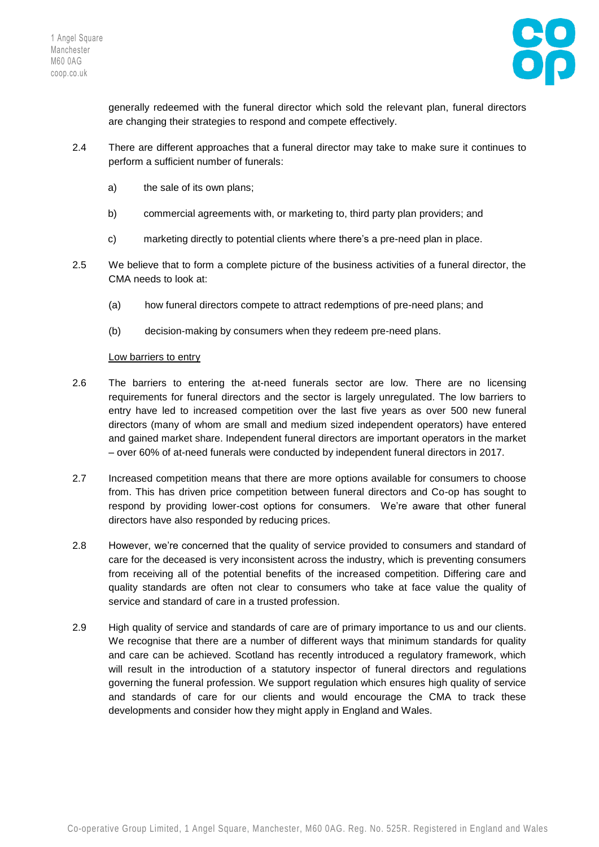

generally redeemed with the funeral director which sold the relevant plan, funeral directors are changing their strategies to respond and compete effectively.

- 2.4 There are different approaches that a funeral director may take to make sure it continues to perform a sufficient number of funerals:
	- a) the sale of its own plans;
	- b) commercial agreements with, or marketing to, third party plan providers; and
	- c) marketing directly to potential clients where there's a pre-need plan in place.
- 2.5 We believe that to form a complete picture of the business activities of a funeral director, the CMA needs to look at:
	- (a) how funeral directors compete to attract redemptions of pre-need plans; and
	- (b) decision-making by consumers when they redeem pre-need plans.

### Low barriers to entry

- 2.6 The barriers to entering the at-need funerals sector are low. There are no licensing requirements for funeral directors and the sector is largely unregulated. The low barriers to entry have led to increased competition over the last five years as over 500 new funeral directors (many of whom are small and medium sized independent operators) have entered and gained market share. Independent funeral directors are important operators in the market – over 60% of at-need funerals were conducted by independent funeral directors in 2017.
- 2.7 Increased competition means that there are more options available for consumers to choose from. This has driven price competition between funeral directors and Co-op has sought to respond by providing lower-cost options for consumers. We're aware that other funeral directors have also responded by reducing prices.
- 2.8 However, we're concerned that the quality of service provided to consumers and standard of care for the deceased is very inconsistent across the industry, which is preventing consumers from receiving all of the potential benefits of the increased competition. Differing care and quality standards are often not clear to consumers who take at face value the quality of service and standard of care in a trusted profession.
- 2.9 High quality of service and standards of care are of primary importance to us and our clients. We recognise that there are a number of different ways that minimum standards for quality and care can be achieved. Scotland has recently introduced a regulatory framework, which will result in the introduction of a statutory inspector of funeral directors and regulations governing the funeral profession. We support regulation which ensures high quality of service and standards of care for our clients and would encourage the CMA to track these developments and consider how they might apply in England and Wales.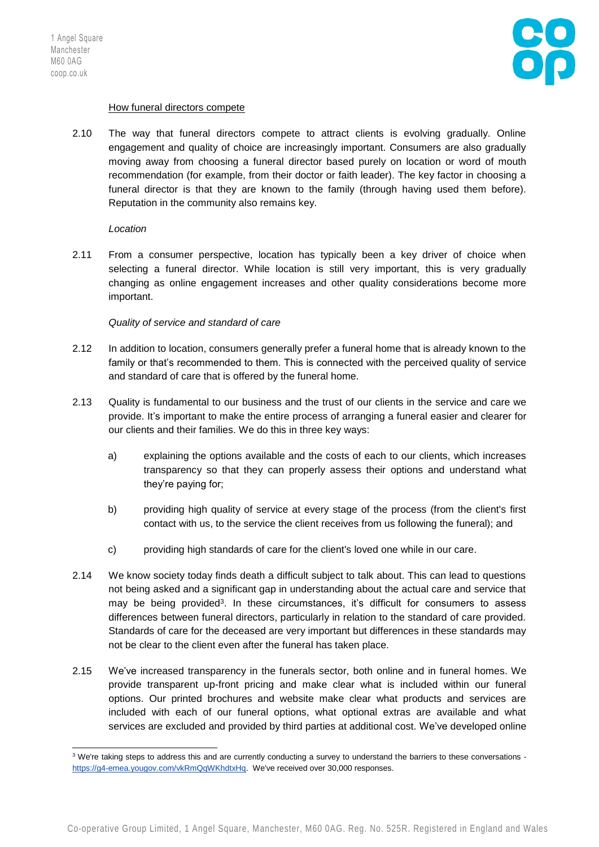

### How funeral directors compete

2.10 The way that funeral directors compete to attract clients is evolving gradually. Online engagement and quality of choice are increasingly important. Consumers are also gradually moving away from choosing a funeral director based purely on location or word of mouth recommendation (for example, from their doctor or faith leader). The key factor in choosing a funeral director is that they are known to the family (through having used them before). Reputation in the community also remains key.

#### *Location*

2.11 From a consumer perspective, location has typically been a key driver of choice when selecting a funeral director. While location is still very important, this is very gradually changing as online engagement increases and other quality considerations become more important.

### *Quality of service and standard of care*

- 2.12 In addition to location, consumers generally prefer a funeral home that is already known to the family or that's recommended to them. This is connected with the perceived quality of service and standard of care that is offered by the funeral home.
- 2.13 Quality is fundamental to our business and the trust of our clients in the service and care we provide. It's important to make the entire process of arranging a funeral easier and clearer for our clients and their families. We do this in three key ways:
	- a) explaining the options available and the costs of each to our clients, which increases transparency so that they can properly assess their options and understand what they're paying for;
	- b) providing high quality of service at every stage of the process (from the client's first contact with us, to the service the client receives from us following the funeral); and
	- c) providing high standards of care for the client's loved one while in our care.
- 2.14 We know society today finds death a difficult subject to talk about. This can lead to questions not being asked and a significant gap in understanding about the actual care and service that may be being provided<sup>3</sup>. In these circumstances, it's difficult for consumers to assess differences between funeral directors, particularly in relation to the standard of care provided. Standards of care for the deceased are very important but differences in these standards may not be clear to the client even after the funeral has taken place.
- 2.15 We've increased transparency in the funerals sector, both online and in funeral homes. We provide transparent up-front pricing and make clear what is included within our funeral options. Our printed brochures and website make clear what products and services are included with each of our funeral options, what optional extras are available and what services are excluded and provided by third parties at additional cost. We've developed online

<sup>1</sup>  $3$  We're taking steps to address this and are currently conducting a survey to understand the barriers to these conversations [https://g4-emea.yougov.com/vkRmQqWKhdtxHq.](https://g4-emea.yougov.com/vkRmQqWKhdtxHq) We've received over 30,000 responses.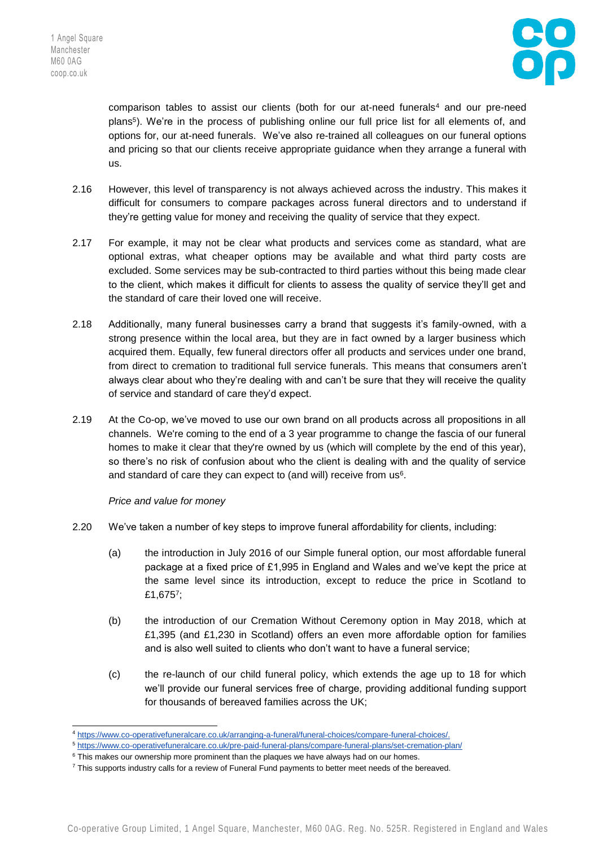1



comparison tables to assist our clients (both for our at-need funerals<sup>4</sup> and our pre-need plans<sup>5</sup> ). We're in the process of publishing online our full price list for all elements of, and options for, our at-need funerals. We've also re-trained all colleagues on our funeral options and pricing so that our clients receive appropriate guidance when they arrange a funeral with us.

- 2.16 However, this level of transparency is not always achieved across the industry. This makes it difficult for consumers to compare packages across funeral directors and to understand if they're getting value for money and receiving the quality of service that they expect.
- 2.17 For example, it may not be clear what products and services come as standard, what are optional extras, what cheaper options may be available and what third party costs are excluded. Some services may be sub-contracted to third parties without this being made clear to the client, which makes it difficult for clients to assess the quality of service they'll get and the standard of care their loved one will receive.
- 2.18 Additionally, many funeral businesses carry a brand that suggests it's family-owned, with a strong presence within the local area, but they are in fact owned by a larger business which acquired them. Equally, few funeral directors offer all products and services under one brand, from direct to cremation to traditional full service funerals. This means that consumers aren't always clear about who they're dealing with and can't be sure that they will receive the quality of service and standard of care they'd expect.
- 2.19 At the Co-op, we've moved to use our own brand on all products across all propositions in all channels. We're coming to the end of a 3 year programme to change the fascia of our funeral homes to make it clear that they're owned by us (which will complete by the end of this year), so there's no risk of confusion about who the client is dealing with and the quality of service and standard of care they can expect to (and will) receive from  $us<sup>6</sup>$ .

## *Price and value for money*

- 2.20 We've taken a number of key steps to improve funeral affordability for clients, including:
	- (a) the introduction in July 2016 of our Simple funeral option, our most affordable funeral package at a fixed price of £1,995 in England and Wales and we've kept the price at the same level since its introduction, except to reduce the price in Scotland to £1,675<sup>7</sup>;
	- (b) the introduction of our Cremation Without Ceremony option in May 2018, which at £1,395 (and £1,230 in Scotland) offers an even more affordable option for families and is also well suited to clients who don't want to have a funeral service;
	- (c) the re-launch of our child funeral policy, which extends the age up to 18 for which we'll provide our funeral services free of charge, providing additional funding support for thousands of bereaved families across the UK;

<sup>4</sup> [https://www.co-operativefuneralcare.co.uk/arranging-a-funeral/funeral-choices/compare-funeral-choices/.](https://www.co-operativefuneralcare.co.uk/arranging-a-funeral/funeral-choices/compare-funeral-choices/)

<sup>5</sup> <https://www.co-operativefuneralcare.co.uk/pre-paid-funeral-plans/compare-funeral-plans/set-cremation-plan/>

<sup>&</sup>lt;sup>6</sup> This makes our ownership more prominent than the plaques we have always had on our homes.

 $7$  This supports industry calls for a review of Funeral Fund payments to better meet needs of the bereaved.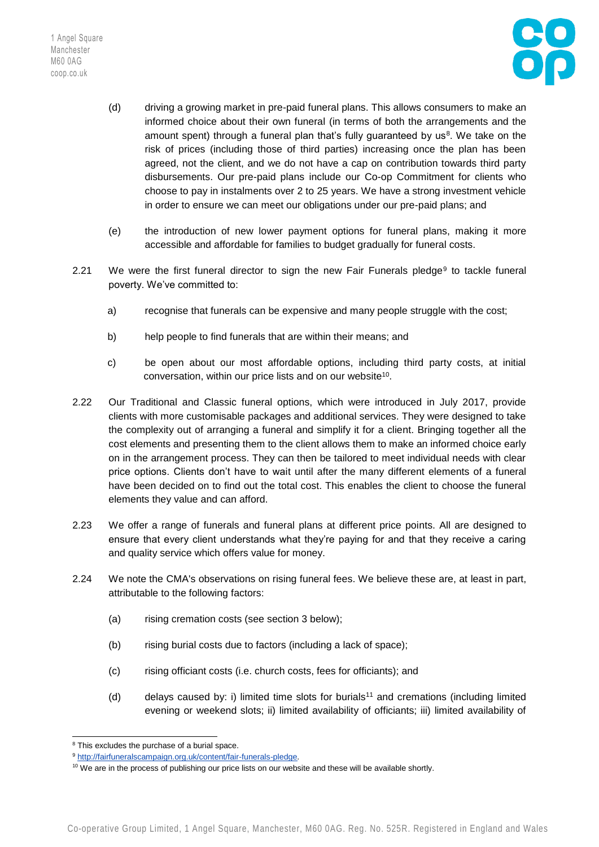1 Angel Square Manchester M60 0AG coop.co.uk



- (d) driving a growing market in pre-paid funeral plans. This allows consumers to make an informed choice about their own funeral (in terms of both the arrangements and the amount spent) through a funeral plan that's fully guaranteed by us<sup>8</sup>. We take on the risk of prices (including those of third parties) increasing once the plan has been agreed, not the client, and we do not have a cap on contribution towards third party disbursements. Our pre-paid plans include our Co-op Commitment for clients who choose to pay in instalments over 2 to 25 years. We have a strong investment vehicle in order to ensure we can meet our obligations under our pre-paid plans; and
- (e) the introduction of new lower payment options for funeral plans, making it more accessible and affordable for families to budget gradually for funeral costs.
- 2.21 We were the first funeral director to sign the new Fair Funerals pledge<sup>9</sup> to tackle funeral poverty. We've committed to:
	- a) recognise that funerals can be expensive and many people struggle with the cost;
	- b) help people to find funerals that are within their means; and
	- c) be open about our most affordable options, including third party costs, at initial conversation, within our price lists and on our website<sup>10</sup>.
- 2.22 Our Traditional and Classic funeral options, which were introduced in July 2017, provide clients with more customisable packages and additional services. They were designed to take the complexity out of arranging a funeral and simplify it for a client. Bringing together all the cost elements and presenting them to the client allows them to make an informed choice early on in the arrangement process. They can then be tailored to meet individual needs with clear price options. Clients don't have to wait until after the many different elements of a funeral have been decided on to find out the total cost. This enables the client to choose the funeral elements they value and can afford.
- 2.23 We offer a range of funerals and funeral plans at different price points. All are designed to ensure that every client understands what they're paying for and that they receive a caring and quality service which offers value for money.
- 2.24 We note the CMA's observations on rising funeral fees. We believe these are, at least in part, attributable to the following factors:
	- (a) rising cremation costs (see section 3 below);
	- (b) rising burial costs due to factors (including a lack of space);
	- (c) rising officiant costs (i.e. church costs, fees for officiants); and
	- (d) delays caused by: i) limited time slots for burials<sup>11</sup> and cremations (including limited evening or weekend slots; ii) limited availability of officiants; iii) limited availability of

-

<sup>&</sup>lt;sup>8</sup> This excludes the purchase of a burial space.

<sup>9</sup> [http://fairfuneralscampaign.org.uk/content/fair-funerals-pledge.](http://fairfuneralscampaign.org.uk/content/fair-funerals-pledge)

<sup>&</sup>lt;sup>10</sup> We are in the process of publishing our price lists on our website and these will be available shortly.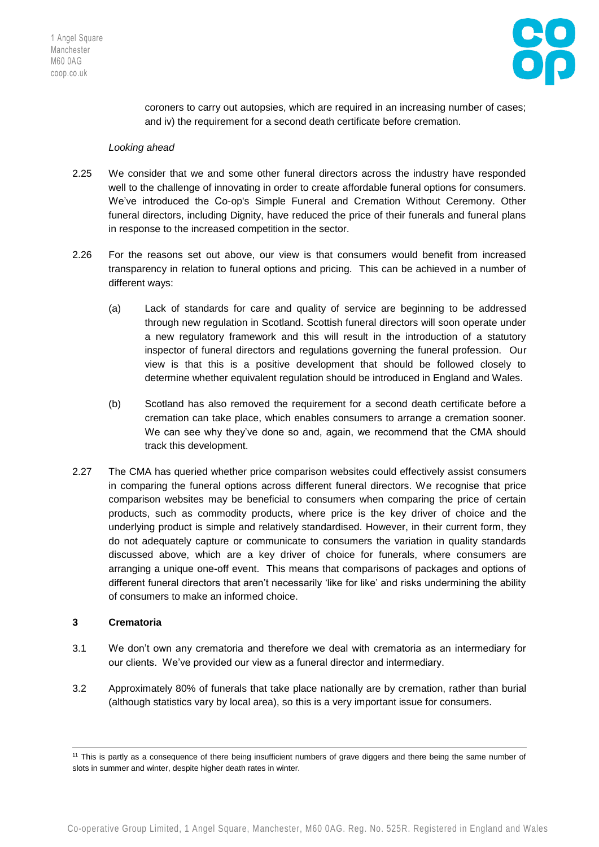

coroners to carry out autopsies, which are required in an increasing number of cases; and iv) the requirement for a second death certificate before cremation.

### *Looking ahead*

- 2.25 We consider that we and some other funeral directors across the industry have responded well to the challenge of innovating in order to create affordable funeral options for consumers. We've introduced the Co-op's Simple Funeral and Cremation Without Ceremony. Other funeral directors, including Dignity, have reduced the price of their funerals and funeral plans in response to the increased competition in the sector.
- 2.26 For the reasons set out above, our view is that consumers would benefit from increased transparency in relation to funeral options and pricing. This can be achieved in a number of different ways:
	- (a) Lack of standards for care and quality of service are beginning to be addressed through new regulation in Scotland. Scottish funeral directors will soon operate under a new regulatory framework and this will result in the introduction of a statutory inspector of funeral directors and regulations governing the funeral profession. Our view is that this is a positive development that should be followed closely to determine whether equivalent regulation should be introduced in England and Wales.
	- (b) Scotland has also removed the requirement for a second death certificate before a cremation can take place, which enables consumers to arrange a cremation sooner. We can see why they've done so and, again, we recommend that the CMA should track this development.
- 2.27 The CMA has queried whether price comparison websites could effectively assist consumers in comparing the funeral options across different funeral directors. We recognise that price comparison websites may be beneficial to consumers when comparing the price of certain products, such as commodity products, where price is the key driver of choice and the underlying product is simple and relatively standardised. However, in their current form, they do not adequately capture or communicate to consumers the variation in quality standards discussed above, which are a key driver of choice for funerals, where consumers are arranging a unique one-off event. This means that comparisons of packages and options of different funeral directors that aren't necessarily 'like for like' and risks undermining the ability of consumers to make an informed choice.

## **3 Crematoria**

1

- 3.1 We don't own any crematoria and therefore we deal with crematoria as an intermediary for our clients. We've provided our view as a funeral director and intermediary.
- 3.2 Approximately 80% of funerals that take place nationally are by cremation, rather than burial (although statistics vary by local area), so this is a very important issue for consumers.

<sup>&</sup>lt;sup>11</sup> This is partly as a consequence of there being insufficient numbers of grave diggers and there being the same number of slots in summer and winter, despite higher death rates in winter.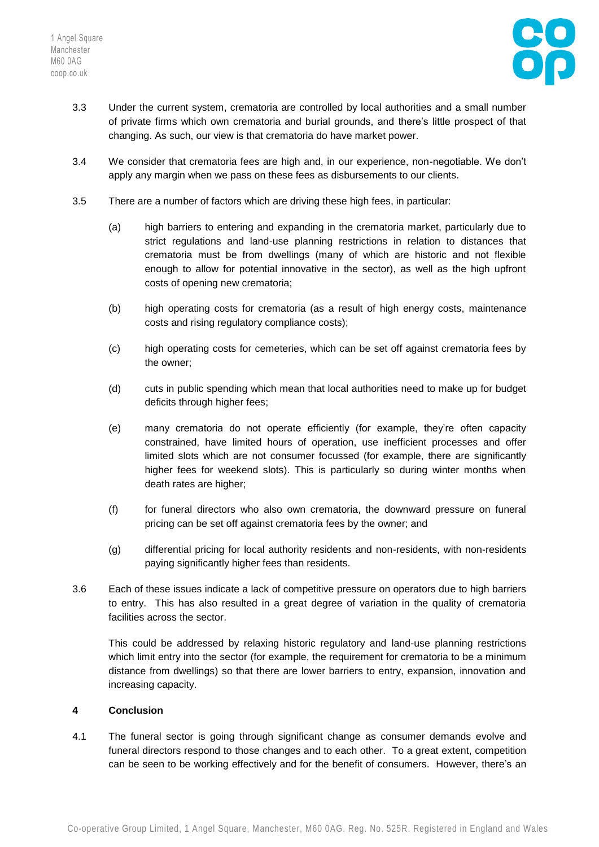

- 3.3 Under the current system, crematoria are controlled by local authorities and a small number of private firms which own crematoria and burial grounds, and there's little prospect of that changing. As such, our view is that crematoria do have market power.
- 3.4 We consider that crematoria fees are high and, in our experience, non-negotiable. We don't apply any margin when we pass on these fees as disbursements to our clients.
- 3.5 There are a number of factors which are driving these high fees, in particular:
	- (a) high barriers to entering and expanding in the crematoria market, particularly due to strict regulations and land-use planning restrictions in relation to distances that crematoria must be from dwellings (many of which are historic and not flexible enough to allow for potential innovative in the sector), as well as the high upfront costs of opening new crematoria;
	- (b) high operating costs for crematoria (as a result of high energy costs, maintenance costs and rising regulatory compliance costs);
	- (c) high operating costs for cemeteries, which can be set off against crematoria fees by the owner;
	- (d) cuts in public spending which mean that local authorities need to make up for budget deficits through higher fees;
	- (e) many crematoria do not operate efficiently (for example, they're often capacity constrained, have limited hours of operation, use inefficient processes and offer limited slots which are not consumer focussed (for example, there are significantly higher fees for weekend slots). This is particularly so during winter months when death rates are higher;
	- (f) for funeral directors who also own crematoria, the downward pressure on funeral pricing can be set off against crematoria fees by the owner; and
	- (g) differential pricing for local authority residents and non-residents, with non-residents paying significantly higher fees than residents.
- 3.6 Each of these issues indicate a lack of competitive pressure on operators due to high barriers to entry. This has also resulted in a great degree of variation in the quality of crematoria facilities across the sector.

This could be addressed by relaxing historic regulatory and land-use planning restrictions which limit entry into the sector (for example, the requirement for crematoria to be a minimum distance from dwellings) so that there are lower barriers to entry, expansion, innovation and increasing capacity.

## **4 Conclusion**

4.1 The funeral sector is going through significant change as consumer demands evolve and funeral directors respond to those changes and to each other. To a great extent, competition can be seen to be working effectively and for the benefit of consumers. However, there's an